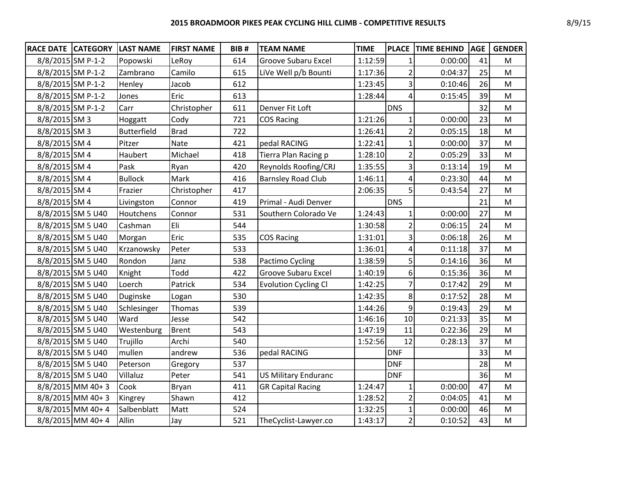| <b>RACE DATE CATEGORY</b> |                      | <b>LAST NAME</b>   | <b>FIRST NAME</b> | BIB# | <b>TEAM NAME</b>            | <b>TIME</b> | <b>PLACE</b>   | <b>TIME BEHIND</b> | <b>AGE</b> | <b>GENDER</b> |
|---------------------------|----------------------|--------------------|-------------------|------|-----------------------------|-------------|----------------|--------------------|------------|---------------|
|                           | 8/8/2015 SM P-1-2    | Popowski           | LeRoy             | 614  | Groove Subaru Excel         | 1:12:59     | 1              | 0:00:00            | 41         | М             |
| 8/8/2015 SM P-1-2         |                      | Zambrano           | Camilo            | 615  | LiVe Well p/b Bounti        | 1:17:36     | $\overline{2}$ | 0:04:37            | 25         | M             |
| 8/8/2015 SM P-1-2         |                      | Henley             | Jacob             | 612  |                             | 1:23:45     | 3              | 0:10:46            | 26         | ${\sf M}$     |
| 8/8/2015 SM P-1-2         |                      | Jones              | Eric              | 613  |                             | 1:28:44     | 4              | 0:15:45            | 39         | M             |
|                           | 8/8/2015 SM P-1-2    | Carr               | Christopher       | 611  | Denver Fit Loft             |             | <b>DNS</b>     |                    | 32         | M             |
| 8/8/2015 SM 3             |                      | Hoggatt            | Cody              | 721  | <b>COS Racing</b>           | 1:21:26     |                | 0:00:00            | 23         | ${\sf M}$     |
| 8/8/2015 SM 3             |                      | <b>Butterfield</b> | <b>Brad</b>       | 722  |                             | 1:26:41     | $\overline{2}$ | 0:05:15            | 18         | ${\sf M}$     |
| 8/8/2015 SM 4             |                      | Pitzer             | <b>Nate</b>       | 421  | pedal RACING                | 1:22:41     | $\mathbf{1}$   | 0:00:00            | 37         | M             |
| 8/8/2015 SM 4             |                      | Haubert            | Michael           | 418  | Tierra Plan Racing p        | 1:28:10     | $\overline{2}$ | 0:05:29            | 33         | M             |
| 8/8/2015 SM 4             |                      | Pask               | Ryan              | 420  | Reynolds Roofing/CRJ        | 1:35:55     | 3              | 0:13:14            | 19         | M             |
| 8/8/2015 SM 4             |                      | <b>Bullock</b>     | Mark              | 416  | <b>Barnsley Road Club</b>   | 1:46:11     | 4              | 0:23:30            | 44         | M             |
| 8/8/2015 SM 4             |                      | Frazier            | Christopher       | 417  |                             | 2:06:35     | 5              | 0:43:54            | 27         | M             |
| 8/8/2015 SM 4             |                      | Livingston         | Connor            | 419  | Primal - Audi Denver        |             | <b>DNS</b>     |                    | 21         | ${\sf M}$     |
|                           | 8/8/2015 SM 5 U40    | Houtchens          | Connor            | 531  | Southern Colorado Ve        | 1:24:43     | 1              | 0:00:00            | 27         | M             |
|                           | 8/8/2015 SM 5 U40    | Cashman            | Eli               | 544  |                             | 1:30:58     | $\overline{2}$ | 0:06:15            | 24         | M             |
|                           | 8/8/2015 SM 5 U40    | Morgan             | Eric              | 535  | <b>COS Racing</b>           | 1:31:01     | 3              | 0:06:18            | 26         | M             |
|                           | 8/8/2015 SM 5 U40    | Krzanowsky         | Peter             | 533  |                             | 1:36:01     | 4              | 0:11:18            | 37         | ${\sf M}$     |
|                           | 8/8/2015 SM 5 U40    | Rondon             | Janz              | 538  | Pactimo Cycling             | 1:38:59     | 5              | 0:14:16            | 36         | M             |
|                           | 8/8/2015 SM 5 U40    | Knight             | Todd              | 422  | Groove Subaru Excel         | 1:40:19     | 6              | 0:15:36            | 36         | M             |
|                           | 8/8/2015 SM 5 U40    | Loerch             | Patrick           | 534  | <b>Evolution Cycling Cl</b> | 1:42:25     | $\overline{7}$ | 0:17:42            | 29         | M             |
|                           | 8/8/2015 SM 5 U40    | Duginske           | Logan             | 530  |                             | 1:42:35     | 8              | 0:17:52            | 28         | M             |
|                           | 8/8/2015 SM 5 U40    | Schlesinger        | Thomas            | 539  |                             | 1:44:26     | 9              | 0:19:43            | 29         | M             |
|                           | 8/8/2015 SM 5 U40    | Ward               | Jesse             | 542  |                             | 1:46:16     | 10             | 0:21:33            | 35         | M             |
|                           | 8/8/2015 SM 5 U40    | Westenburg         | <b>Brent</b>      | 543  |                             | 1:47:19     | 11             | 0:22:36            | 29         | M             |
|                           | 8/8/2015 SM 5 U40    | Trujillo           | Archi             | 540  |                             | 1:52:56     | 12             | 0:28:13            | 37         | ${\sf M}$     |
|                           | 8/8/2015 SM 5 U40    | mullen             | andrew            | 536  | pedal RACING                |             | <b>DNF</b>     |                    | 33         | M             |
|                           | 8/8/2015 SM 5 U40    | Peterson           | Gregory           | 537  |                             |             | <b>DNF</b>     |                    | 28         | M             |
|                           | 8/8/2015 SM 5 U40    | Villaluz           | Peter             | 541  | <b>US Military Enduranc</b> |             | <b>DNF</b>     |                    | 36         | M             |
|                           | 8/8/2015 MM 40+3     | Cook               | Bryan             | 411  | <b>GR Capital Racing</b>    | 1:24:47     | $\mathbf{1}$   | 0:00:00            | 47         | M             |
|                           | 8/8/2015 MM 40+3     | Kingrey            | Shawn             | 412  |                             | 1:28:52     | $\overline{2}$ | 0:04:05            | 41         | M             |
|                           | 8/8/2015 MM 40+4     | Salbenblatt        | Matt              | 524  |                             | 1:32:25     | 1              | 0:00:00            | 46         | ${\sf M}$     |
|                           | $8/8/2015$ MM $40+4$ | Allin              | Jay               | 521  | TheCyclist-Lawyer.co        | 1:43:17     | $\overline{2}$ | 0:10:52            | 43         | M             |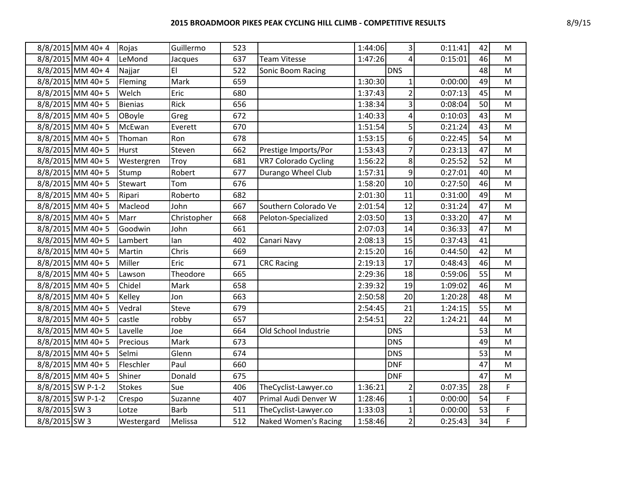## **2015 BROADMOOR PIKES PEAK CYCLING HILL CLIMB - COMPETITIVE RESULTS** 8/9/15

|                   | 8/8/2015 MM 40+4 | Rojas          | Guillermo    | 523 |                             | 1:44:06 | 3 <sup>1</sup>  | 0:11:41 | 42 | M            |
|-------------------|------------------|----------------|--------------|-----|-----------------------------|---------|-----------------|---------|----|--------------|
|                   | 8/8/2015 MM 40+4 | LeMond         | Jacques      | 637 | <b>Team Vitesse</b>         | 1:47:26 | $\vert$         | 0:15:01 | 46 | M            |
|                   | 8/8/2015 MM 40+4 | Najjar         | EI           | 522 | Sonic Boom Racing           |         | <b>DNS</b>      |         | 48 | M            |
|                   | 8/8/2015 MM 40+5 | Fleming        | Mark         | 659 |                             | 1:30:30 | $\mathbf{1}$    | 0:00:00 | 49 | M            |
|                   | 8/8/2015 MM 40+5 | Welch          | Eric         | 680 |                             | 1:37:43 | $\overline{2}$  | 0:07:13 | 45 | ${\sf M}$    |
|                   | 8/8/2015 MM 40+5 | <b>Bienias</b> | Rick         | 656 |                             | 1:38:34 | $\overline{3}$  | 0:08:04 | 50 | ${\sf M}$    |
|                   | 8/8/2015 MM 40+5 | OBoyle         | Greg         | 672 |                             | 1:40:33 | 4               | 0:10:03 | 43 | $\mathsf{M}$ |
|                   | 8/8/2015 MM 40+5 | McEwan         | Everett      | 670 |                             | 1:51:54 | 5 <sup>1</sup>  | 0:21:24 | 43 | M            |
|                   | 8/8/2015 MM 40+5 | Thoman         | Ron          | 678 |                             | 1:53:15 | 6 <sup>1</sup>  | 0:22:45 | 54 | ${\sf M}$    |
|                   | 8/8/2015 MM 40+5 | <b>Hurst</b>   | Steven       | 662 | Prestige Imports/Por        | 1:53:43 | $\overline{7}$  | 0:23:13 | 47 | M            |
|                   | 8/8/2015 MM 40+5 | Westergren     | Troy         | 681 | <b>VR7 Colorado Cycling</b> | 1:56:22 | 8 <sup>1</sup>  | 0:25:52 | 52 | M            |
|                   | 8/8/2015 MM 40+5 | Stump          | Robert       | 677 | Durango Wheel Club          | 1:57:31 | 9               | 0:27:01 | 40 | ${\sf M}$    |
|                   | 8/8/2015 MM 40+5 | Stewart        | Tom          | 676 |                             | 1:58:20 | 10              | 0:27:50 | 46 | ${\sf M}$    |
|                   | 8/8/2015 MM 40+5 | Ripari         | Roberto      | 682 |                             | 2:01:30 | 11              | 0:31:00 | 49 | M            |
|                   | 8/8/2015 MM 40+5 | Macleod        | John         | 667 | Southern Colorado Ve        | 2:01:54 | 12              | 0:31:24 | 47 | M            |
|                   | 8/8/2015 MM 40+5 | Marr           | Christopher  | 668 | Peloton-Specialized         | 2:03:50 | 13              | 0:33:20 | 47 | ${\sf M}$    |
|                   | 8/8/2015 MM 40+5 | Goodwin        | John         | 661 |                             | 2:07:03 | 14              | 0:36:33 | 47 | M            |
|                   | 8/8/2015 MM 40+5 | Lambert        | lan          | 402 | Canari Navy                 | 2:08:13 | 15              | 0:37:43 | 41 |              |
|                   | 8/8/2015 MM 40+5 | Martin         | Chris        | 669 |                             | 2:15:20 | 16              | 0:44:50 | 42 | M            |
|                   | 8/8/2015 MM 40+5 | Miller         | Eric         | 671 | <b>CRC Racing</b>           | 2:19:13 | 17              | 0:48:43 | 46 | ${\sf M}$    |
|                   | 8/8/2015 MM 40+5 | Lawson         | Theodore     | 665 |                             | 2:29:36 | 18              | 0:59:06 | 55 | M            |
|                   | 8/8/2015 MM 40+5 | Chidel         | Mark         | 658 |                             | 2:39:32 | 19              | 1:09:02 | 46 | ${\sf M}$    |
|                   | 8/8/2015 MM 40+5 | Kelley         | Jon          | 663 |                             | 2:50:58 | 20 <sup>1</sup> | 1:20:28 | 48 | M            |
|                   | 8/8/2015 MM 40+5 | Vedral         | <b>Steve</b> | 679 |                             | 2:54:45 | 21              | 1:24:15 | 55 | M            |
|                   | 8/8/2015 MM 40+5 | castle         | robby        | 657 |                             | 2:54:51 | 22              | 1:24:21 | 44 | M            |
|                   | 8/8/2015 MM 40+5 | Lavelle        | Joe          | 664 | Old School Industrie        |         | <b>DNS</b>      |         | 53 | M            |
|                   | 8/8/2015 MM 40+5 | Precious       | Mark         | 673 |                             |         | <b>DNS</b>      |         | 49 | ${\sf M}$    |
|                   | 8/8/2015 MM 40+5 | Selmi          | Glenn        | 674 |                             |         | <b>DNS</b>      |         | 53 | ${\sf M}$    |
|                   | 8/8/2015 MM 40+5 | Fleschler      | Paul         | 660 |                             |         | <b>DNF</b>      |         | 47 | ${\sf M}$    |
|                   | 8/8/2015 MM 40+5 | Shiner         | Donald       | 675 |                             |         | <b>DNF</b>      |         | 47 | ${\sf M}$    |
| 8/8/2015 SW P-1-2 |                  | <b>Stokes</b>  | Sue          | 406 | TheCyclist-Lawyer.co        | 1:36:21 | $\overline{2}$  | 0:07:35 | 28 | F            |
| 8/8/2015 SW P-1-2 |                  | Crespo         | Suzanne      | 407 | Primal Audi Denver W        | 1:28:46 | $1\vert$        | 0:00:00 | 54 | $\mathsf F$  |
| 8/8/2015 SW 3     |                  | Lotze          | <b>Barb</b>  | 511 | TheCyclist-Lawyer.co        | 1:33:03 | $\mathbf{1}$    | 0:00:00 | 53 | $\mathsf F$  |
| 8/8/2015 SW 3     |                  | Westergard     | Melissa      | 512 | <b>Naked Women's Racing</b> | 1:58:46 | $\overline{2}$  | 0:25:43 | 34 | F            |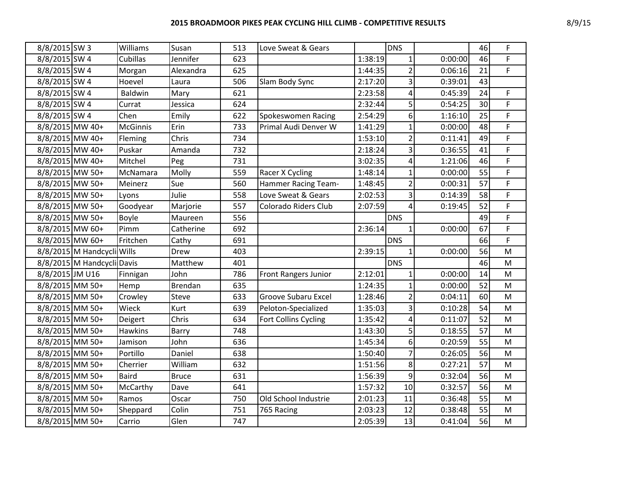| 8/8/2015 SW 3   |                            | Williams        | Susan          | 513 | Love Sweat & Gears          |         | <b>DNS</b>     |         | 46 | F           |
|-----------------|----------------------------|-----------------|----------------|-----|-----------------------------|---------|----------------|---------|----|-------------|
| 8/8/2015 SW 4   |                            | Cubillas        | Jennifer       | 623 |                             | 1:38:19 | $\mathbf{1}$   | 0:00:00 | 46 | F           |
| 8/8/2015 SW 4   |                            | Morgan          | Alexandra      | 625 |                             | 1:44:35 | $\overline{2}$ | 0:06:16 | 21 | F           |
| 8/8/2015 SW 4   |                            | Hoevel          | Laura          | 506 | Slam Body Sync              | 2:17:20 | 3              | 0:39:01 | 43 |             |
| 8/8/2015 SW 4   |                            | Baldwin         | Mary           | 621 |                             | 2:23:58 | 4              | 0:45:39 | 24 | F           |
| 8/8/2015 SW 4   |                            | Currat          | Jessica        | 624 |                             | 2:32:44 | 5              | 0:54:25 | 30 | F           |
| 8/8/2015 SW 4   |                            | Chen            | Emily          | 622 | Spokeswomen Racing          | 2:54:29 | 6              | 1:16:10 | 25 | $\mathsf F$ |
| 8/8/2015 MW 40+ |                            | <b>McGinnis</b> | Erin           | 733 | Primal Audi Denver W        | 1:41:29 | $\overline{1}$ | 0:00:00 | 48 | F           |
| 8/8/2015 MW 40+ |                            | Fleming         | Chris          | 734 |                             | 1:53:10 | $\overline{2}$ | 0:11:41 | 49 | $\mathsf F$ |
| 8/8/2015 MW 40+ |                            | Puskar          | Amanda         | 732 |                             | 2:18:24 | 3              | 0:36:55 | 41 | F           |
| 8/8/2015 MW 40+ |                            | Mitchel         | Peg            | 731 |                             | 3:02:35 | 4              | 1:21:06 | 46 | F           |
| 8/8/2015 MW 50+ |                            | McNamara        | Molly          | 559 | Racer X Cycling             | 1:48:14 | 1              | 0:00:00 | 55 | F           |
| 8/8/2015 MW 50+ |                            | Meinerz         | Sue            | 560 | <b>Hammer Racing Team-</b>  | 1:48:45 | $\overline{2}$ | 0:00:31 | 57 | $\mathsf F$ |
| 8/8/2015 MW 50+ |                            | Lyons           | Julie          | 558 | Love Sweat & Gears          | 2:02:53 | 3              | 0:14:39 | 58 | F           |
| 8/8/2015 MW 50+ |                            | Goodyear        | Marjorie       | 557 | Colorado Riders Club        | 2:07:59 | 4              | 0:19:45 | 52 | $\mathsf F$ |
| 8/8/2015 MW 50+ |                            | Boyle           | Maureen        | 556 |                             |         | <b>DNS</b>     |         | 49 | F           |
| 8/8/2015 MW 60+ |                            | Pimm            | Catherine      | 692 |                             | 2:36:14 | $\mathbf{1}$   | 0:00:00 | 67 | F           |
| 8/8/2015 MW 60+ |                            | Fritchen        | Cathy          | 691 |                             |         | <b>DNS</b>     |         | 66 | F           |
|                 | 8/8/2015 M Handcycli Wills |                 | Drew           | 403 |                             | 2:39:15 | $\mathbf{1}$   | 0:00:00 | 56 | M           |
|                 | 8/8/2015 M Handcycli Davis |                 | Matthew        | 401 |                             |         | <b>DNS</b>     |         | 46 | M           |
| 8/8/2015 JM U16 |                            | Finnigan        | John           | 786 | <b>Front Rangers Junior</b> | 2:12:01 | 1              | 0:00:00 | 14 | M           |
| 8/8/2015 MM 50+ |                            | Hemp            | <b>Brendan</b> | 635 |                             | 1:24:35 |                | 0:00:00 | 52 | M           |
| 8/8/2015 MM 50+ |                            | Crowley         | <b>Steve</b>   | 633 | <b>Groove Subaru Excel</b>  | 1:28:46 | $\overline{2}$ | 0:04:11 | 60 | M           |
| 8/8/2015 MM 50+ |                            | Wieck           | Kurt           | 639 | Peloton-Specialized         | 1:35:03 | 3              | 0:10:28 | 54 | M           |
| 8/8/2015 MM 50+ |                            | Deigert         | Chris          | 634 | Fort Collins Cycling        | 1:35:42 | 4              | 0:11:07 | 52 | ${\sf M}$   |
| 8/8/2015 MM 50+ |                            | <b>Hawkins</b>  | Barry          | 748 |                             | 1:43:30 | 5              | 0:18:55 | 57 | M           |
| 8/8/2015 MM 50+ |                            | Jamison         | John           | 636 |                             | 1:45:34 | 6              | 0:20:59 | 55 | M           |
| 8/8/2015 MM 50+ |                            | Portillo        | Daniel         | 638 |                             | 1:50:40 | $\overline{7}$ | 0:26:05 | 56 | M           |
| 8/8/2015 MM 50+ |                            | Cherrier        | William        | 632 |                             | 1:51:56 | 8              | 0:27:21 | 57 | ${\sf M}$   |
| 8/8/2015 MM 50+ |                            | <b>Baird</b>    | Bruce          | 631 |                             | 1:56:39 | 9              | 0:32:04 | 56 | M           |
| 8/8/2015 MM 50+ |                            | McCarthy        | Dave           | 641 |                             | 1:57:32 | 10             | 0:32:57 | 56 | M           |
| 8/8/2015 MM 50+ |                            | Ramos           | Oscar          | 750 | Old School Industrie        | 2:01:23 | 11             | 0:36:48 | 55 | M           |
| 8/8/2015 MM 50+ |                            | Sheppard        | Colin          | 751 | 765 Racing                  | 2:03:23 | 12             | 0:38:48 | 55 | ${\sf M}$   |
| 8/8/2015 MM 50+ |                            | Carrio          | Glen           | 747 |                             | 2:05:39 | 13             | 0:41:04 | 56 | M           |
|                 |                            |                 |                |     |                             |         |                |         |    |             |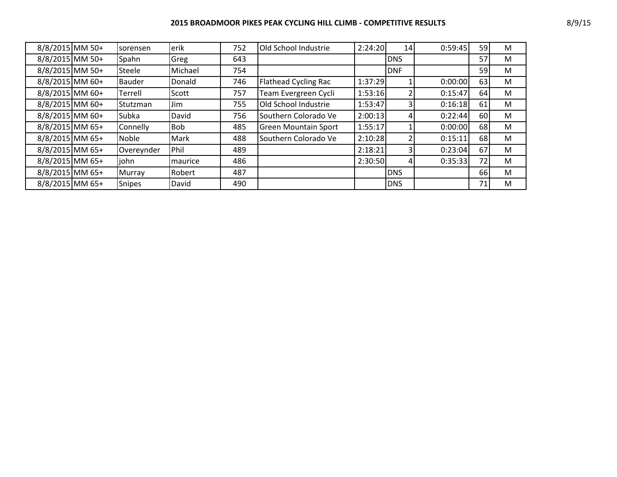| 8/8/2015 MM 50+   | sorensen      | erik            | 752 | Old School Industrie        | 2:24:20 | 14         | 0:59:45 | 59 | M |
|-------------------|---------------|-----------------|-----|-----------------------------|---------|------------|---------|----|---|
| 8/8/2015 MM 50+   | Spahn         | Greg            | 643 |                             |         | <b>DNS</b> |         | 57 | M |
| 8/8/2015 MM 50+   | Steele        | Michael         | 754 |                             |         | <b>DNF</b> |         | 59 | M |
| 8/8/2015 MM 60+   | <b>Bauder</b> | Donald          | 746 | Flathead Cycling Rac        | 1:37:29 |            | 0:00:00 | 63 | M |
| 8/8/2015 MM 60+   | Terrell       | Scott           | 757 | Team Evergreen Cycli        | 1:53:16 |            | 0:15:47 | 64 | M |
| 8/8/2015 MM 60+   | Stutzman      | Jim             | 755 | Old School Industrie        | 1:53:47 |            | 0:16:18 | 61 | M |
| $8/8/2015$ MM 60+ | Subka         | David           | 756 | Southern Colorado Ve        | 2:00:13 |            | 0:22:44 | 60 | M |
| 8/8/2015 MM 65+   | Connelly      | <b>Bob</b>      | 485 | <b>Green Mountain Sport</b> | 1:55:17 |            | 0:00:00 | 68 | M |
| 8/8/2015 MM 65+   | Noble         | Mark            | 488 | Southern Colorado Ve        | 2:10:28 |            | 0:15:11 | 68 | M |
| 8/8/2015 MM 65+   | Overeynder    | Phil            | 489 |                             | 2:18:21 |            | 0:23:04 | 67 | M |
| 8/8/2015 MM 65+   | john          | <b>Imaurice</b> | 486 |                             | 2:30:50 |            | 0:35:33 | 72 | M |
| 8/8/2015 MM 65+   | Murray        | Robert          | 487 |                             |         | <b>DNS</b> |         | 66 | M |
| 8/8/2015 MM 65+   | <b>Snipes</b> | David           | 490 |                             |         | <b>DNS</b> |         | 71 | M |